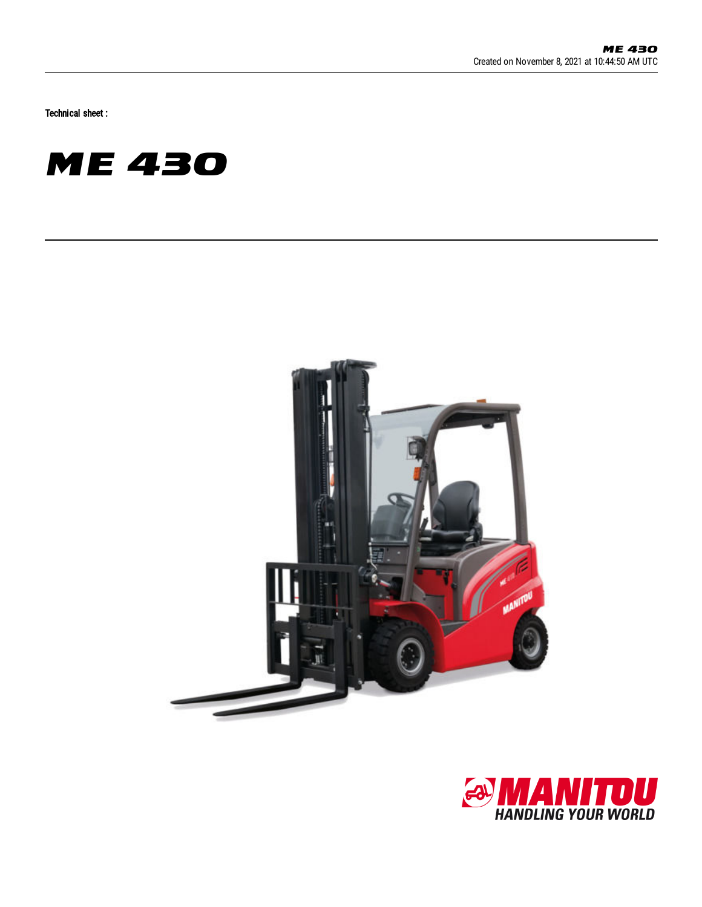Technical sheet :





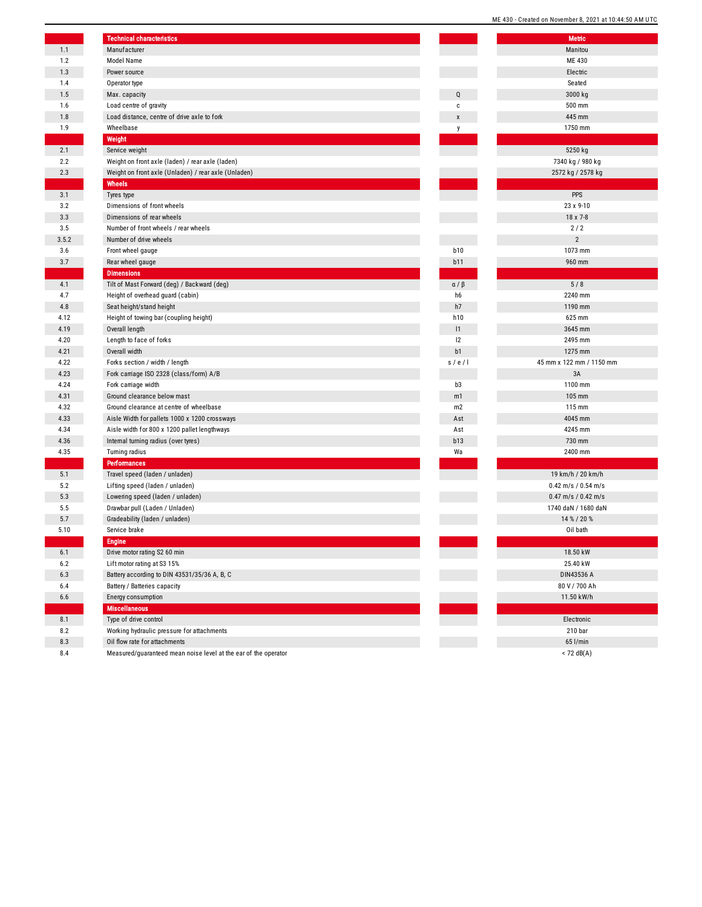|       | <b>Technical characteristics</b>                                |                           | N                  |
|-------|-----------------------------------------------------------------|---------------------------|--------------------|
| 1.1   | Manufacturer                                                    |                           | M                  |
| 1.2   | Model Name                                                      |                           | M                  |
| 1.3   | Power source                                                    |                           | EI                 |
| 1.4   | Operator type                                                   |                           | S <sub>0</sub>     |
| 1.5   | Max. capacity                                                   | Q                         | 30                 |
| 1.6   | Load centre of gravity                                          | C                         | 50                 |
| 1.8   | Load distance, centre of drive axle to fork                     | $\boldsymbol{\mathsf{x}}$ | 44                 |
| 1.9   | Wheelbase                                                       | y                         | 17 <sub>1</sub>    |
|       | Weight                                                          |                           |                    |
| 2.1   | Service weight                                                  |                           | 52                 |
| 2.2   | Weight on front axle (laden) / rear axle (laden)                |                           | 7340 k             |
| 2.3   | Weight on front axle (Unladen) / rear axle (Unladen)            |                           | 2572 kg            |
|       | Wheels                                                          |                           |                    |
| 3.1   | Tyres type                                                      |                           |                    |
| 3.2   | Dimensions of front wheels                                      |                           | 23                 |
| 3.3   | Dimensions of rear wheels                                       |                           | 18                 |
| 3.5   | Number of front wheels / rear wheels                            |                           | í                  |
| 3.5.2 | Number of drive wheels                                          |                           |                    |
| 3.6   | Front wheel gauge                                               | <b>b10</b>                | 10                 |
| 3.7   | Rear wheel gauge                                                | <b>b11</b>                | 96                 |
|       | <b>Dimensions</b>                                               |                           |                    |
| 4.1   | Tilt of Mast Forward (deg) / Backward (deg)                     | a / β                     |                    |
| 4.7   | Height of overhead guard (cabin)                                | h6                        | 22 <sub>1</sub>    |
| 4.8   | Seat height/stand height                                        | h7                        | 11!                |
| 4.12  | Height of towing bar (coupling height)                          | h <sub>10</sub>           | 62                 |
| 4.19  | Overall length                                                  | 1                         | 36 <sub>1</sub>    |
| 4.20  | Length to face of forks                                         | 12                        | 24                 |
| 4.21  | Overall width                                                   | b1                        | 12                 |
| 4.22  | Forks section / width / length                                  | s/e/1                     | 45 mm x 122        |
| 4.23  | Fork carriage ISO 2328 (class/form) A/B                         |                           |                    |
| 4.24  | Fork carriage width                                             | b3                        | 11(                |
| 4.31  | Ground clearance below mast                                     | m1                        | 10                 |
| 4.32  | Ground clearance at centre of wheelbase                         | m2                        | 11                 |
| 4.33  | Aisle Width for pallets 1000 x 1200 crossways                   | Ast                       | 40 <sub>1</sub>    |
| 4.34  | Aisle width for 800 x 1200 pallet lengthways                    | Ast                       | 42 <sub>1</sub>    |
| 4.36  | Internal turning radius (over tyres)                            | b13                       | 73                 |
| 4.35  | Turning radius                                                  | Wa                        | 24 <sub>1</sub>    |
|       | <b>Performances</b>                                             |                           |                    |
| 5.1   | Travel speed (laden / unladen)                                  |                           | 19 km/h            |
| 5.2   | Lifting speed (laden / unladen)                                 |                           | $0.42 \text{ m/s}$ |
| 5.3   | Lowering speed (laden / unladen)                                |                           | $0.47 \text{ m/s}$ |
| 5.5   | Drawbar pull (Laden / Unladen)                                  |                           | 1740 daM           |
| 5.7   | Gradeability (laden / unladen)                                  |                           | 14 %               |
| 5.10  | Service brake                                                   |                           | 0i                 |
|       | <b>Engine</b>                                                   |                           |                    |
| 6.1   | Drive motor rating S2 60 min                                    |                           | 18.                |
| 6.2   | Lift motor rating at S3 15%                                     |                           | 25.                |
| 6.3   | Battery according to DIN 43531/35/36 A, B, C                    |                           | DIN4               |
| 6.4   | Battery / Batteries capacity                                    |                           | 80V                |
| 6.6   | Energy consumption                                              |                           | 11.5               |
|       | <b>Miscellaneous</b>                                            |                           |                    |
| 8.1   | Type of drive control                                           |                           | Ele                |
| 8.2   | Working hydraulic pressure for attachments                      |                           | 21                 |
| 8.3   | Oil flow rate for attachments                                   |                           | 65                 |
| 8.4   | Measured/quaranteed mean noise level at the ear of the operator |                           | $\leq 72$          |

|             | ME 430 - Created on November 8, 2021 at 10:44:50 AM UTC |
|-------------|---------------------------------------------------------|
|             | <b>Metric</b>                                           |
|             | Manitou                                                 |
|             |                                                         |
|             | ME 430                                                  |
|             | Electric                                                |
|             | Seated                                                  |
| Q           | 3000 kg                                                 |
| C           | 500 mm                                                  |
| X           | 445 mm                                                  |
| у           | 1750 mm                                                 |
|             |                                                         |
|             | 5250 kg                                                 |
|             | 7340 kg / 980 kg                                        |
|             | 2572 kg / 2578 kg                                       |
|             |                                                         |
|             | <b>PPS</b>                                              |
|             | 23 x 9-10                                               |
|             | 18 x 7-8                                                |
|             | 2/2                                                     |
|             | $\overline{2}$                                          |
| <b>b10</b>  | 1073 mm                                                 |
|             |                                                         |
| b11         | 960 mm                                                  |
|             |                                                         |
| $a / \beta$ | 5/8                                                     |
| h6          | 2240 mm                                                 |
| h7          | 1190 mm                                                 |
| h10         | 625 mm                                                  |
| 1           | 3645 mm                                                 |
| 12          | 2495 mm                                                 |
| b1          | 1275 mm                                                 |
| s / e / I   | 45 mm x 122 mm / 1150 mm                                |
|             | 3A                                                      |
| b3          | 1100 mm                                                 |
| m1          | 105 mm                                                  |
| m2          | 115 mm                                                  |
| Ast         | 4045 mm                                                 |
| Ast         | 4245 mm                                                 |
| b13         | 730 mm                                                  |
| Wa          | 2400 mm                                                 |
|             |                                                         |
|             | 19 km/h / 20 km/h                                       |
|             | $0.42$ m/s / $0.54$ m/s                                 |
|             | $0.47$ m/s / $0.42$ m/s                                 |
|             | 1740 daN / 1680 daN                                     |
|             | 14 % / 20 %                                             |
|             |                                                         |
|             | Oil bath                                                |
|             |                                                         |
|             | 18.50 kW                                                |
|             | 25.40 kW                                                |
|             | DIN43536 A                                              |
|             | 80 V / 700 Ah                                           |
|             | 11.50 kW/h                                              |
|             |                                                         |
|             | Electronic                                              |
|             | 210 bar                                                 |
|             | 65 l/min                                                |
|             | $<$ 72 dB(A)                                            |
|             |                                                         |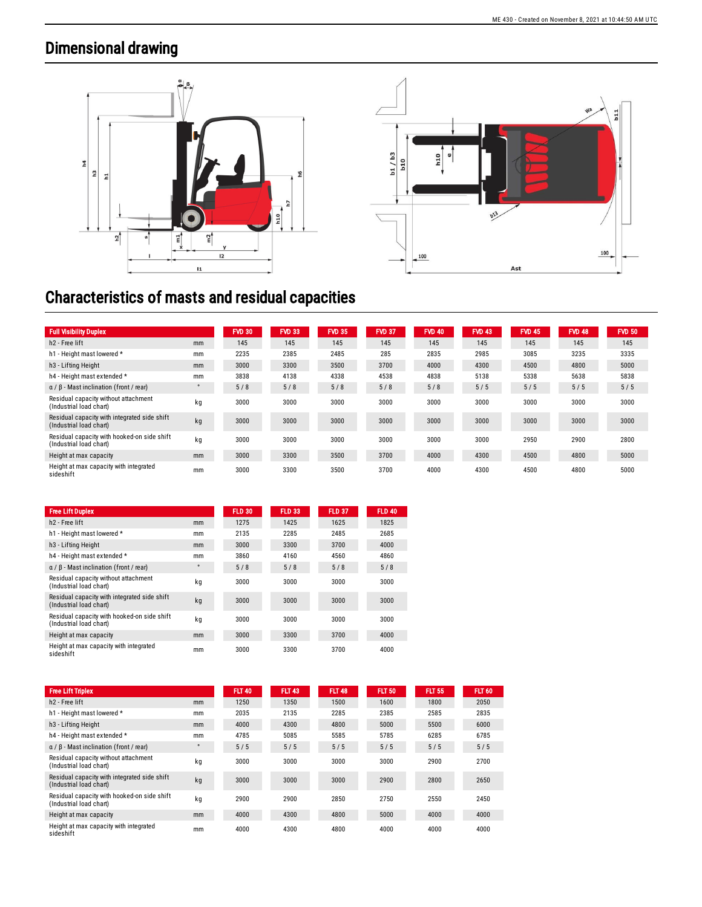## Dimensional drawing





## Characteristics of masts and residual capacities

| <b>Full Visibility Duplex</b>                                           |    | <b>FVD 30</b> | <b>FVD 33</b> | <b>FVD 35</b> | <b>FVD 37</b> | <b>FVD 40</b> | <b>FVD 43</b> | <b>FVD 45</b> | <b>FVD 48</b> | <b>FVD 50</b> |
|-------------------------------------------------------------------------|----|---------------|---------------|---------------|---------------|---------------|---------------|---------------|---------------|---------------|
| h <sub>2</sub> - Free lift                                              | mm | 145           | 145           | 145           | 145           | 145           | 145           | 145           | 145           | 145           |
| h1 - Height mast lowered *                                              | mm | 2235          | 2385          | 2485          | 285           | 2835          | 2985          | 3085          | 3235          | 3335          |
| h <sub>3</sub> - Lifting Height                                         | mm | 3000          | 3300          | 3500          | 3700          | 4000          | 4300          | 4500          | 4800          | 5000          |
| h4 - Height mast extended *                                             | mm | 3838          | 4138          | 4338          | 4538          | 4838          | 5138          | 5338          | 5638          | 5838          |
| $\alpha$ / $\beta$ - Mast inclination (front / rear)                    |    | 5/8           | 5/8           | 5/8           | 5/8           | 5/8           | 5/5           | 5/5           | 5/5           | 5/5           |
| Residual capacity without attachment<br>(Industrial load chart)         | kg | 3000          | 3000          | 3000          | 3000          | 3000          | 3000          | 3000          | 3000          | 3000          |
| Residual capacity with integrated side shift<br>(Industrial load chart) | kg | 3000          | 3000          | 3000          | 3000          | 3000          | 3000          | 3000          | 3000          | 3000          |
| Residual capacity with hooked-on side shift<br>(Industrial load chart)  | kg | 3000          | 3000          | 3000          | 3000          | 3000          | 3000          | 2950          | 2900          | 2800          |
| Height at max capacity                                                  | mm | 3000          | 3300          | 3500          | 3700          | 4000          | 4300          | 4500          | 4800          | 5000          |
| Height at max capacity with integrated<br>sideshift                     | mm | 3000          | 3300          | 3500          | 3700          | 4000          | 4300          | 4500          | 4800          | 5000          |

| <b>Free Lift Duplex</b>                                                 |         | <b>FLD 30</b> | <b>FLD 33</b> | <b>FLD 37</b> | <b>FLD 40</b> |
|-------------------------------------------------------------------------|---------|---------------|---------------|---------------|---------------|
| h <sub>2</sub> - Free lift                                              | mm      | 1275          | 1425          | 1625          | 1825          |
| h1 - Height mast lowered *                                              | mm      | 2135          | 2285          | 2485          | 2685          |
| h <sub>3</sub> - Lifting Height                                         | mm      | 3000          | 3300          | 3700          | 4000          |
| h4 - Height mast extended *                                             | mm      | 3860          | 4160          | 4560          | 4860          |
| $\alpha$ / $\beta$ - Mast inclination (front / rear)                    | $\circ$ | 5/8           | 5/8           | 5/8           | 5/8           |
| Residual capacity without attachment<br>(Industrial load chart)         | kq      | 3000          | 3000          | 3000          | 3000          |
| Residual capacity with integrated side shift<br>(Industrial load chart) | kq      | 3000          | 3000          | 3000          | 3000          |
| Residual capacity with hooked-on side shift<br>(Industrial load chart)  | kq      | 3000          | 3000          | 3000          | 3000          |
| Height at max capacity                                                  | mm      | 3000          | 3300          | 3700          | 4000          |
| Height at max capacity with integrated<br>sideshift                     | mm      | 3000          | 3300          | 3700          | 4000          |

| <b>Free Lift Triplex</b>                                                |         | <b>FLT 40</b> | <b>FLT 43</b> | <b>FLT 48</b> | <b>FLT 50</b> | <b>FLT 55</b> | <b>FLT 60</b> |
|-------------------------------------------------------------------------|---------|---------------|---------------|---------------|---------------|---------------|---------------|
| h <sub>2</sub> - Free lift                                              | mm      | 1250          | 1350          | 1500          | 1600          | 1800          | 2050          |
| h1 - Height mast lowered *                                              | mm      | 2035          | 2135          | 2285          | 2385          | 2585          | 2835          |
| h <sub>3</sub> - Lifting Height                                         | mm      | 4000          | 4300          | 4800          | 5000          | 5500          | 6000          |
| h4 - Height mast extended *                                             | mm      | 4785          | 5085          | 5585          | 5785          | 6285          | 6785          |
| $\alpha$ / $\beta$ - Mast inclination (front / rear)                    | $\circ$ | 5/5           | 5/5           | 5/5           | 5/5           | 5/5           | 5/5           |
| Residual capacity without attachment<br>(Industrial load chart)         | kq      | 3000          | 3000          | 3000          | 3000          | 2900          | 2700          |
| Residual capacity with integrated side shift<br>(Industrial load chart) | kq      | 3000          | 3000          | 3000          | 2900          | 2800          | 2650          |
| Residual capacity with hooked-on side shift<br>(Industrial load chart)  | kq      | 2900          | 2900          | 2850          | 2750          | 2550          | 2450          |
| Height at max capacity                                                  | mm      | 4000          | 4300          | 4800          | 5000          | 4000          | 4000          |
| Height at max capacity with integrated<br>sideshift                     | mm      | 4000          | 4300          | 4800          | 4000          | 4000          | 4000          |